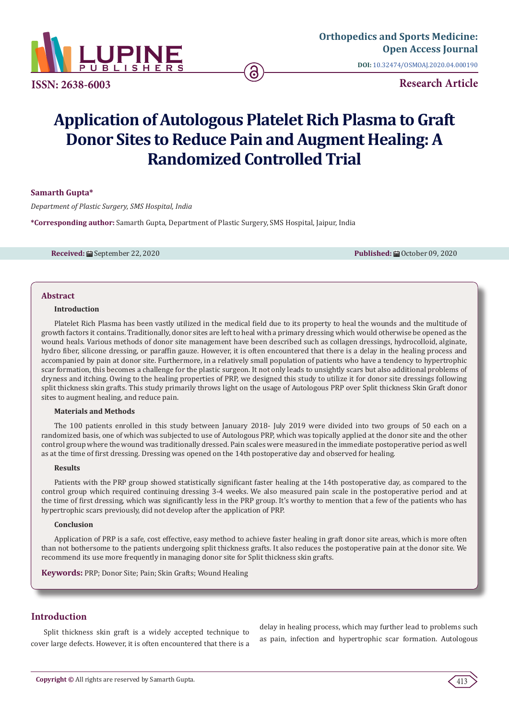

**ISSN: 2638-6003**

**DOI:** [10.32474/OSMOAJ.2020.04.0001](http://dx.doi.org/10.32474/OSMOAJ.2020.04.000190)90

**Research Article**

# **Application of Autologous Platelet Rich Plasma to Graft Donor Sites to Reduce Pain and Augment Healing: A Randomized Controlled Trial**

## **Samarth Gupta\***

*Department of Plastic Surgery, SMS Hospital, India*

**\*Corresponding author:** Samarth Gupta, Department of Plastic Surgery, SMS Hospital, Jaipur, India

**Received:** ■ September 22, 2020 **Published:** ■ October 09, 2020

## **Abstract**

#### **Introduction**

Platelet Rich Plasma has been vastly utilized in the medical field due to its property to heal the wounds and the multitude of growth factors it contains. Traditionally, donor sites are left to heal with a primary dressing which would otherwise be opened as the wound heals. Various methods of donor site management have been described such as collagen dressings, hydrocolloid, alginate, hydro fiber, silicone dressing, or paraffin gauze. However, it is often encountered that there is a delay in the healing process and accompanied by pain at donor site. Furthermore, in a relatively small population of patients who have a tendency to hypertrophic scar formation, this becomes a challenge for the plastic surgeon. It not only leads to unsightly scars but also additional problems of dryness and itching. Owing to the healing properties of PRP, we designed this study to utilize it for donor site dressings following split thickness skin grafts. This study primarily throws light on the usage of Autologous PRP over Split thickness Skin Graft donor sites to augment healing, and reduce pain.

#### **Materials and Methods**

The 100 patients enrolled in this study between January 2018- July 2019 were divided into two groups of 50 each on a randomized basis, one of which was subjected to use of Autologous PRP, which was topically applied at the donor site and the other control group where the wound was traditionally dressed. Pain scales were measured in the immediate postoperative period as well as at the time of first dressing. Dressing was opened on the 14th postoperative day and observed for healing.

#### **Results**

Patients with the PRP group showed statistically significant faster healing at the 14th postoperative day, as compared to the control group which required continuing dressing 3-4 weeks. We also measured pain scale in the postoperative period and at the time of first dressing, which was significantly less in the PRP group. It's worthy to mention that a few of the patients who has hypertrophic scars previously, did not develop after the application of PRP.

## **Conclusion**

Application of PRP is a safe, cost effective, easy method to achieve faster healing in graft donor site areas, which is more often than not bothersome to the patients undergoing split thickness grafts. It also reduces the postoperative pain at the donor site. We recommend its use more frequently in managing donor site for Split thickness skin grafts.

**Keywords:** PRP; Donor Site; Pain; Skin Grafts; Wound Healing

# **Introduction**

Split thickness skin graft is a widely accepted technique to cover large defects. However, it is often encountered that there is a delay in healing process, which may further lead to problems such as pain, infection and hypertrophic scar formation. Autologous

413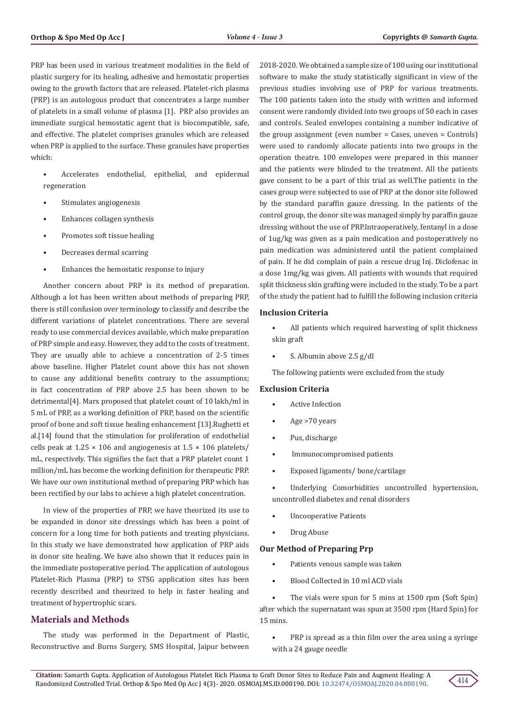PRP has been used in various treatment modalities in the field of plastic surgery for its healing, adhesive and hemostatic properties owing to the growth factors that are released. Platelet-rich plasma (PRP) is an autologous product that concentrates a large number of platelets in a small volume of plasma [1]. PRP also provides an immediate surgical hemostatic agent that is biocompatible, safe, and effective. The platelet comprises granules which are released when PRP is applied to the surface. These granules have properties which:

- Accelerates endothelial, epithelial, and epidermal regeneration
- Stimulates angiogenesis
- Enhances collagen synthesis
- Promotes soft tissue healing
- Decreases dermal scarring
- Enhances the hemostatic response to injury

Another concern about PRP is its method of preparation. Although a lot has been written about methods of preparing PRP, there is still confusion over terminology to classify and describe the different variations of platelet concentrations. There are several ready to use commercial devices available, which make preparation of PRP simple and easy. However, they add to the costs of treatment. They are usually able to achieve a concentration of 2-5 times above baseline. Higher Platelet count above this has not shown to cause any additional benefits contrary to the assumptions; in fact concentration of PRP above 2.5 has been shown to be detrimental[4]. Marx proposed that platelet count of 10 lakh/ml in 5 mL of PRP, as a working definition of PRP, based on the scientific proof of bone and soft tissue healing enhancement [13].Rughetti et al.[14] found that the stimulation for proliferation of endothelial cells peak at  $1.25 \times 106$  and angiogenesis at  $1.5 \times 106$  platelets/ mL, respectively. This signifies the fact that a PRP platelet count 1 million/mL has become the working definition for therapeutic PRP. We have our own institutional method of preparing PRP which has been rectified by our labs to achieve a high platelet concentration.

In view of the properties of PRP, we have theorized its use to be expanded in donor site dressings which has been a point of concern for a long time for both patients and treating physicians. In this study we have demonstrated how application of PRP aids in donor site healing. We have also shown that it reduces pain in the immediate postoperative period. The application of autologous Platelet-Rich Plasma (PRP) to STSG application sites has been recently described and theorized to help in faster healing and treatment of hypertrophic scars.

## **Materials and Methods**

The study was performed in the Department of Plastic, Reconstructive and Burns Surgery, SMS Hospital, Jaipur between 2018-2020. We obtained a sample size of 100 using our institutional software to make the study statistically significant in view of the previous studies involving use of PRP for various treatments. The 100 patients taken into the study with written and informed consent were randomly divided into two groups of 50 each in cases and controls. Sealed envelopes containing a number indicative of the group assignment (even number = Cases, uneven = Controls) were used to randomly allocate patients into two groups in the operation theatre. 100 envelopes were prepared in this manner and the patients were blinded to the treatment. All the patients gave consent to be a part of this trial as well.The patients in the cases group were subjected to use of PRP at the donor site followed by the standard paraffin gauze dressing. In the patients of the control group, the donor site was managed simply by paraffin gauze dressing without the use of PRP.Intraoperatively, fentanyl in a dose of 1ug/kg was given as a pain medication and postoperatively no pain medication was administered until the patient complained of pain. If he did complain of pain a rescue drug Inj. Diclofenac in a dose 1mg/kg was given. All patients with wounds that required split thickness skin grafting were included in the study. To be a part of the study the patient had to fulfill the following inclusion criteria

## **Inclusion Criteria**

- All patients which required harvesting of split thickness skin graft
- S. Albumin above 2.5 g/dl

The following patients were excluded from the study

#### **Exclusion Criteria**

- Active Infection
- Age >70 years
- Pus, discharge
- Immunocompromised patients
- Exposed ligaments/ bone/cartilage

Underlying Comorbidities uncontrolled hypertension, uncontrolled diabetes and renal disorders

- Uncooperative Patients
- Drug Abuse

#### **Our Method of Preparing Prp**

- Patients venous sample was taken
- Blood Collected in 10 ml ACD vials

The vials were spun for 5 mins at 1500 rpm (Soft Spin) after which the supernatant was spun at 3500 rpm (Hard Spin) for 15 mins.

PRP is spread as a thin film over the area using a syringe with a 24 gauge needle

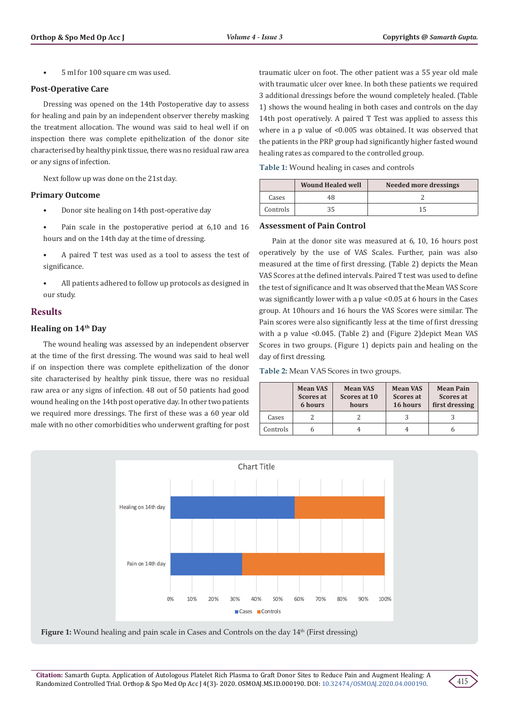• 5 ml for 100 square cm was used.

## **Post-Operative Care**

Dressing was opened on the 14th Postoperative day to assess for healing and pain by an independent observer thereby masking the treatment allocation. The wound was said to heal well if on inspection there was complete epithelization of the donor site characterised by healthy pink tissue, there was no residual raw area or any signs of infection.

Next follow up was done on the 21st day.

#### **Primary Outcome**

- Donor site healing on 14th post-operative day
- Pain scale in the postoperative period at 6,10 and 16 hours and on the 14th day at the time of dressing.
- A paired T test was used as a tool to assess the test of significance.
- All patients adhered to follow up protocols as designed in our study.

## **Results**

#### **Healing on 14th Day**

The wound healing was assessed by an independent observer at the time of the first dressing. The wound was said to heal well if on inspection there was complete epithelization of the donor site characterised by healthy pink tissue, there was no residual raw area or any signs of infection. 48 out of 50 patients had good wound healing on the 14th post operative day. In other two patients we required more dressings. The first of these was a 60 year old male with no other comorbidities who underwent grafting for post

traumatic ulcer on foot. The other patient was a 55 year old male with traumatic ulcer over knee. In both these patients we required 3 additional dressings before the wound completely healed. (Table 1) shows the wound healing in both cases and controls on the day 14th post operatively. A paired T Test was applied to assess this where in a p value of <0.005 was obtained. It was observed that the patients in the PRP group had significantly higher fasted wound healing rates as compared to the controlled group.

**Table 1:** Wound healing in cases and controls

|          | <b>Wound Healed well</b><br>Needed more dressings |  |
|----------|---------------------------------------------------|--|
| Cases    | 48                                                |  |
| Controls |                                                   |  |

#### **Assessment of Pain Control**

Pain at the donor site was measured at 6, 10, 16 hours post operatively by the use of VAS Scales. Further, pain was also measured at the time of first dressing. (Table 2) depicts the Mean VAS Scores at the defined intervals. Paired T test was used to define the test of significance and It was observed that the Mean VAS Score was significantly lower with a p value <0.05 at 6 hours in the Cases group. At 10hours and 16 hours the VAS Scores were similar. The Pain scores were also significantly less at the time of first dressing with a p value <0.045. (Table 2) and (Figure 2)depict Mean VAS Scores in two groups. (Figure 1) depicts pain and healing on the day of first dressing.

#### **Table 2:** Mean VAS Scores in two groups.

|          | <b>Mean VAS</b><br>Scores at<br>6 hours | <b>Mean VAS</b><br>Scores at 10<br>hours | <b>Mean VAS</b><br>Scores at<br>16 hours | <b>Mean Pain</b><br>Scores at<br>first dressing |
|----------|-----------------------------------------|------------------------------------------|------------------------------------------|-------------------------------------------------|
| Cases    |                                         |                                          |                                          |                                                 |
| Controls |                                         |                                          |                                          | n                                               |





415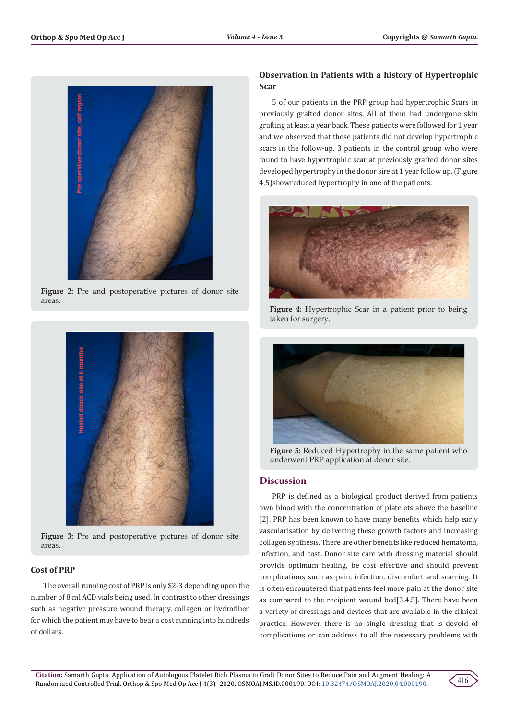

Figure 2: Pre and postoperative pictures of donor site areas.



Figure 3: Pre and postoperative pictures of donor site areas.

## **Cost of PRP**

The overall running cost of PRP is only \$2-3 depending upon the number of 8 ml ACD vials being used. In contrast to other dressings such as negative pressure wound therapy, collagen or hydrofiber for which the patient may have to bear a cost running into hundreds of dollars.

# **Observation in Patients with a history of Hypertrophic Scar**

5 of our patients in the PRP group had hypertrophic Scars in previously grafted donor sites. All of them had undergone skin grafting at least a year back. These patients were followed for 1 year and we observed that these patients did not develop hypertrophic scars in the follow-up. 3 patients in the control group who were found to have hypertrophic scar at previously grafted donor sites developed hypertrophy in the donor sire at 1 year follow up. (Figure 4,5)showreduced hypertrophy in one of the patients.



**Figure 4:** Hypertrophic Scar in a patient prior to being taken for surgery.



**Figure 5:** Reduced Hypertrophy in the same patient who underwent PRP application at donor site.

## **Discussion**

PRP is defined as a biological product derived from patients own blood with the concentration of platelets above the baseline [2]. PRP has been known to have many benefits which help early vascularisation by delivering these growth factors and increasing collagen synthesis. There are other benefits like reduced hematoma, infection, and cost. Donor site care with dressing material should provide optimum healing, be cost effective and should prevent complications such as pain, infection, discomfort and scarring. It is often encountered that patients feel more pain at the donor site as compared to the recipient wound bed[3,4,5]. There have been a variety of dressings and devices that are available in the clinical practice. However, there is no single dressing that is devoid of complications or can address to all the necessary problems with